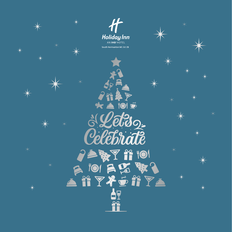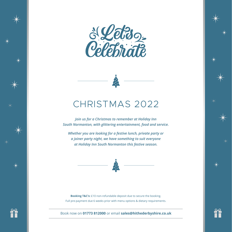



*Join us for a Christmas to remember at Holiday Inn South Normanton, with glittering entertainment, food and service.*

*Whether you are looking for a festive lunch, private party or a joiner party night, we have something to suit everyone at Holiday Inn South Normanton this festive season.*



**Booking T&C's:** £10 non-refundable deposit due to secure the booking. Full pre-payment due 6 weeks prior with menu options & dietary requirements.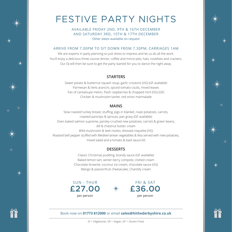# FESTIVE PARTY NIGHTS

### AVAILABLE FRIDAY 2ND, 9TH & 16TH DECEMBER AND SATURDAY 3RD, 10TH & 17TH DECEMBER Other dates available on request

#### ARRIVE FROM 7.00PM TO SIT DOWN FROM 7.30PM, CARRIAGES 1AM

We are experts in party planning so just dress to impress and let us do all the work. You'll enjoy a delicious three course dinner, coffee and mince pies, hats, novelties and crackers. Our DJ will then be sure to get the party started for you to dance the night away.

#### **STARTERS**

Sweet potato & butternut squash soup, garlic croutons (VG) (GF available) Parmesan & herb arancini, spiced tomato coulis, mixed leaves Fan of cantaloupe melon, fresh raspberries & chopped mint (VG) (GF) Chicken & mushroom tartlet, red onion marmalade

### **MAINS**

Slow roasted turkey breast, stuffing, pigs in blanket, roast potatoes, carrots, roasted parsnips & sprouts, pan gravy (GF available) Oven baked salmon supreme, parsley crushed new potatoes, carrots & green beans, dill & chestnut butter cream Wild mushroom & leek risotto, dressed roquette (VG) Roasted bell pepper stuffed with Mediterranean vegetables & feta served with new potatoes, mixed salad and a tomato & basil sauce (V)

### **DESSERTS**

Classic Christmas pudding, brandy sauce (GF available) Baked lemon tart, winter berry compote, clotted cream Chocolate brownie, coconut ice cream, chocolate sauce (VG) Mango & passionfruit cheesecake, Chantilly cream

SUN - THUR **£27.00** per person

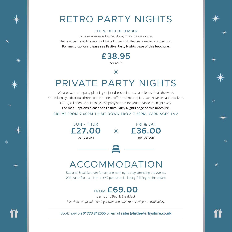# RETRO PARTY NIGHTS

#### 9TH & 10TH DECEMBER

Includes a snowball arrival drink, three course dinner, then dance the night away to old skool tunes with the best dressed competition.

**For menu options please see Festive Party Nights page of this brochure.**

**£38.95** per adult

# PRIVATE PARTY NIGHTS

We are experts in party planning so just dress to impress and let us do all the work. You will enjoy a delicious three course dinner, coffee and mince pies, hats, novelties and crackers. Our DJ will then be sure to get the party started for you to dance the night away. **For menu options please see Festive Party Nights page of this brochure.**

ARRIVE FROM 7.00PM TO SIT DOWN FROM 7.30PM, CARRIAGES 1AM

SUN - THUR **£27.00** per person

FRI & SAT **£36.00** per person

# ACCOMMODATION

Bed and Breakfast rate for anyone wanting to stay attending the events. With rates from as little as £69 per room including full English Breakfast.



per room, Bed & Breakfast

*Based on two people sharing a twin or double room, subject to availability.*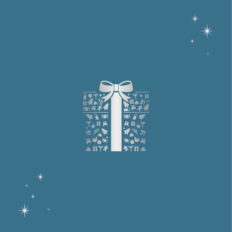



Ĭ Ť **TO OF & TOP**  $\frac{1}{\sqrt{100}}$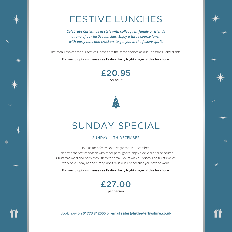# FESTIVE LUNCHES

*Celebrate Christmas in style with colleagues, family or friends at one of our festive lunches. Enjoy a three course lunch with party hats and crackers to get you in the festive spirit.*

The menu choices for our festive lunches are the same choices as our Christmas Party Nights.

**For menu options please see Festive Party Nights page of this brochure.**

**£20.95** per adult



# SUNDAY SPECIAL

### SUNDAY 11TH DECEMBER

Join us for a festive extravaganza this December. Celebrate the festive season with other party-goers, enjoy a delicious three course Christmas meal and party through to the small hours with our disco. For guests which work on a Friday and Saturday, don't miss out just because you have to work.

**For menu options please see Festive Party Nights page of this brochure.**

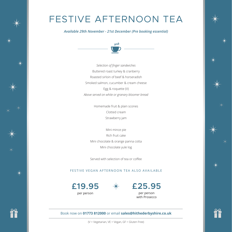# FESTIVE AFTERNOON TEA

#### *Available 29th November - 21st December (Pre booking essential)*

*Selection of finger sandwiches* Buttered roast turkey & cranberry Roasted sirloin of beef & horseradish Smoked salmon, cucumber & cream cheese Egg & roquette (V) *Above served on white or granary bloomer bread*

> Homemade fruit & plain scones Clotted cream Strawberry jam

Mini mince pie Rich fruit cake Mini chocolate & orange panna cotta Mini chocolate yule log

Served with selection of tea or coffee

#### FESTIVE VEGAN AFTERNOON TEA ALSO AVAILABLE

**£19.95** per person

 $\,$ 



**£25.95** per person with Prosecco

Book now on **01773 812000** or email **sales@hithederbyshire.co.uk**

(V = Vegetarian, VE = Vegan, GF = Gluten Free)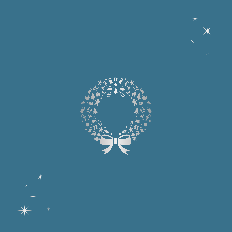

 $\overline{\ast}$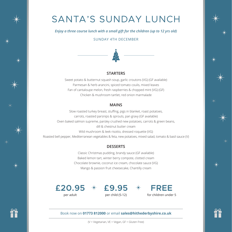# SANTA'S SUNDAY LUNCH

*Enjoy a three course lunch with a small gift for the children (up to 12 yrs old)*

#### SUNDAY 4TH DECEMBER



### **STARTERS**

Sweet potato & butternut squash soup, garlic croutons (VG) (GF available) Parmesan & herb arancini, spiced tomato coulis, mixed leaves Fan of cantaloupe melon, fresh raspberries & chopped mint (VG) (GF) Chicken & mushroom tartlet, red onion marmalade

### **MAINS**

Slow roasted turkey breast, stuffing, pigs in blanket, roast potatoes, carrots, roasted parsnips & sprouts, pan gravy (GF available) Oven baked salmon supreme, parsley crushed new potatoes, carrots & green beans, dill & chestnut butter cream Wild mushroom & leek risotto, dressed roquette (VG) Roasted bell pepper, Mediterranean vegetables & feta, new potatoes, mixed salad, tomato & basil sauce (V)

### **DESSERTS**

Classic Christmas pudding, brandy sauce (GF available) Baked lemon tart, winter berry compote, clotted cream Chocolate brownie, coconut ice cream, chocolate sauce (VG) Mango & passion fruit cheesecake, Chantilly cream

per adult

per child (5-12)

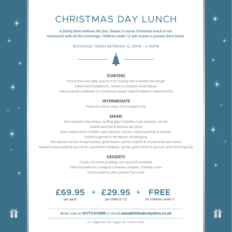# CHRISTMAS DAY LUNCH

*A family feast without the fuss. Deluxe 5 course Christmas lunch in our restaurant with all the trimmings. Children under 12 will receive a present from Santa.*

#### BOOKINGS TAKEN BETWEEN 12.30PM - 4.00PM



### **STARTERS**

Pork & duck liver pâté, autumn fruit chutney with a toasted sourdough Deep fried breaded brie, cranberry compote, mixed leaves Harissa spiced cauliflower on a butternut squash salad & balsamic reduction (VG)

### **INTERMEDIATE**

Potato & celeriac soup, chive snippets (VG)

### **MAINS**

Slow roasted turkey breast, stuffing, pigs in blanket, roast potatoes, carrots, roasted parsnips & sprouts, pan gravy Slow roasted sirloin of beef, roast potatoes, carrots, roasted parsnips & sprouts, Yorkshire garnish & Henderson infused gravy Pan seared cod loin, fondant potato, green beans, carrots, crayfish & mussel white wine sauce Roasted sweet potato & apricot tart, parmentier potatoes, carrots, green beans & sprouts, pesto dressing (VG)

### **DESSERTS**

Classic Christmas pudding, rum sauce (GF available) Dark chocolate tart, orange & Cointreau compote, Chantilly cream Coconut panna cotta, passion fruit coulis



per child (5-12) for children under 5

Book now on **01773 812000** or email **sales@hithederbyshire.co.uk**

(V = Vegetarian, VE = Vegan, GF = Gluten Free)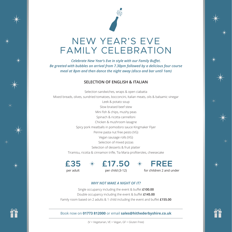

*Celebrate New Year's Eve in style with our Family Buffet. Be greeted with bubbles on arrival from 7.30pm followed by a delicious four course meal at 8pm and then dance the night away (disco and bar until 1am)*

#### **SELECTION OF ENGLISH & ITALIAN**

Selection sandwiches, wraps & open ciabatta Mixed breads, olives, sundried tomatoes, bocconcini, Italian meats, oils & balsamic vinegar Leek & potato soup Slow braised beef stew Mini fish & chips, mushy peas Spinach & ricotta cannelloni Chicken & mushroom lasagne Spicy pork meatballs in pomodoro sauce Kingmaker Flyer Penne pasta nut free pesto (VG) Vegan sausage rolls (VG) Selection of mixed pizzas Selection of desserts & fruit platter Tiramisu, ricotta & cinnamon trifle, Tia Maria profiteroles, cheesecake

**£35** per adult





#### *WHY NOT MAKE A NIGHT OF IT?*

Single occupancy including the event & buffet **£100.00** Double occupancy including the event & buffet **£145.00** Family room based on 2 adults & 1 child including the event and buffet **£155.00**